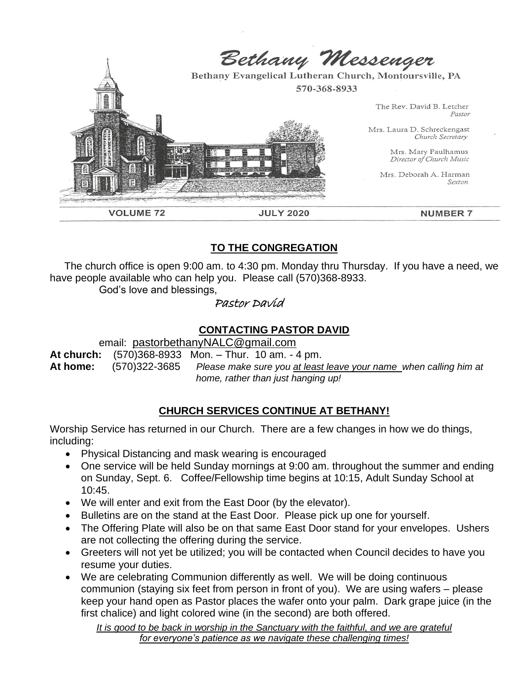

# **TO THE CONGREGATION**

 The church office is open 9:00 am. to 4:30 pm. Monday thru Thursday. If you have a need, we have people available who can help you. Please call (570)368-8933.

God's love and blessings,

# Pastor David

# **CONTACTING PASTOR DAVID**

email: [pastorbethanyNALC@gmail.com](mailto:pastorbethanyNALC@gmail.com)

**At church:** (570)368-8933 Mon. – Thur. 10 am. - 4 pm. **At home:** (570)322-3685 *Please make sure you at least leave your name when calling him at home, rather than just hanging up!*

# **CHURCH SERVICES CONTINUE AT BETHANY!**

Worship Service has returned in our Church. There are a few changes in how we do things, including:

- Physical Distancing and mask wearing is encouraged
- One service will be held Sunday mornings at 9:00 am. throughout the summer and ending on Sunday, Sept. 6. Coffee/Fellowship time begins at 10:15, Adult Sunday School at 10:45.
- We will enter and exit from the East Door (by the elevator).
- Bulletins are on the stand at the East Door. Please pick up one for yourself.
- The Offering Plate will also be on that same East Door stand for your envelopes. Ushers are not collecting the offering during the service.
- Greeters will not yet be utilized; you will be contacted when Council decides to have you resume your duties.
- We are celebrating Communion differently as well. We will be doing continuous communion (staying six feet from person in front of you). We are using wafers – please keep your hand open as Pastor places the wafer onto your palm. Dark grape juice (in the first chalice) and light colored wine (in the second) are both offered.

*It is good to be back in worship in the Sanctuary with the faithful, and we are grateful for everyone's patience as we navigate these challenging times!*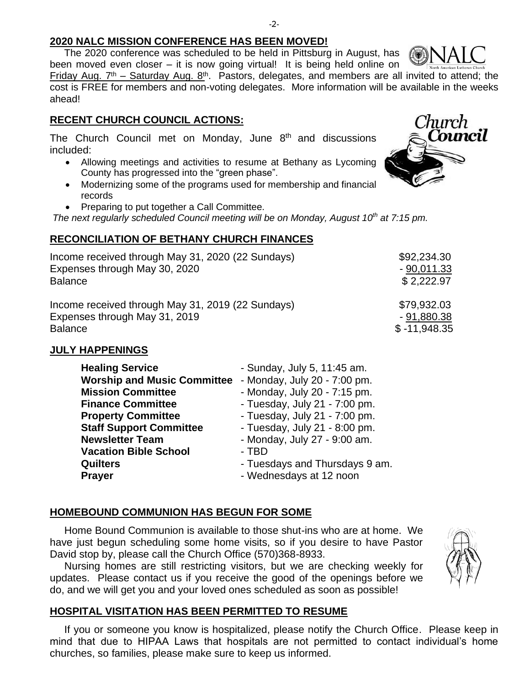The 2020 conference was scheduled to be held in Pittsburg in August, has been moved even closer – it is now going virtual! It is being held online on Friday Aug.  $7<sup>th</sup>$  – Saturday Aug.  $8<sup>th</sup>$ . Pastors, delegates, and members are all invited to attend; the cost is FREE for members and non-voting delegates. More information will be available in the weeks ahead!

### **RECENT CHURCH COUNCIL ACTIONS:**

The Church Council met on Monday, June  $8<sup>th</sup>$  and discussions included:

- Allowing meetings and activities to resume at Bethany as Lycoming County has progressed into the "green phase".
- Modernizing some of the programs used for membership and financial records
- Preparing to put together a Call Committee.

*The next regularly scheduled Council meeting will be on Monday, August 10th at 7:15 pm.*

## **RECONCILIATION OF BETHANY CHURCH FINANCES**

| Income received through May 31, 2020 (22 Sundays) | \$92,234.30    |
|---------------------------------------------------|----------------|
| Expenses through May 30, 2020                     | $-90,011.33$   |
| <b>Balance</b>                                    | \$2,222.97     |
| Income received through May 31, 2019 (22 Sundays) | \$79,932.03    |
| Expenses through May 31, 2019                     | $-91,880.38$   |
| <b>Balance</b>                                    | $$ -11,948.35$ |

## **JULY HAPPENINGS**

| <b>Healing Service</b>             | - Sunday, July 5, 11:45 am.    |
|------------------------------------|--------------------------------|
| <b>Worship and Music Committee</b> | - Monday, July 20 - 7:00 pm.   |
| <b>Mission Committee</b>           | - Monday, July 20 - 7:15 pm.   |
| <b>Finance Committee</b>           | - Tuesday, July 21 - 7:00 pm.  |
| <b>Property Committee</b>          | - Tuesday, July 21 - 7:00 pm.  |
| <b>Staff Support Committee</b>     | - Tuesday, July 21 - 8:00 pm.  |
| <b>Newsletter Team</b>             | - Monday, July 27 - 9:00 am.   |
| <b>Vacation Bible School</b>       | - TBD                          |
| <b>Quilters</b>                    | - Tuesdays and Thursdays 9 am. |
| <b>Prayer</b>                      | - Wednesdays at 12 noon        |

## **HOMEBOUND COMMUNION HAS BEGUN FOR SOME**

 Home Bound Communion is available to those shut-ins who are at home. We have just begun scheduling some home visits, so if you desire to have Pastor David stop by, please call the Church Office (570)368-8933.

 Nursing homes are still restricting visitors, but we are checking weekly for updates. Please contact us if you receive the good of the openings before we do, and we will get you and your loved ones scheduled as soon as possible!

### **HOSPITAL VISITATION HAS BEEN PERMITTED TO RESUME**

 If you or someone you know is hospitalized, please notify the Church Office. Please keep in mind that due to HIPAA Laws that hospitals are not permitted to contact individual's home churches, so families, please make sure to keep us informed.





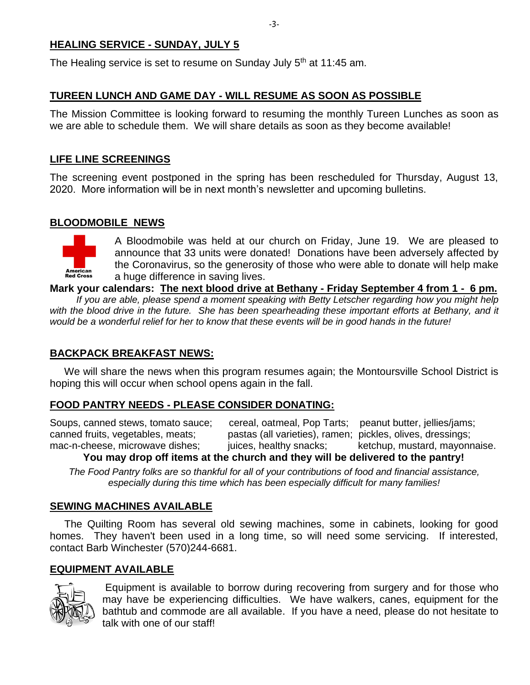### **HEALING SERVICE - SUNDAY, JULY 5**

The Healing service is set to resume on Sunday July 5<sup>th</sup> at 11:45 am.

### **TUREEN LUNCH AND GAME DAY - WILL RESUME AS SOON AS POSSIBLE**

The Mission Committee is looking forward to resuming the monthly Tureen Lunches as soon as we are able to schedule them. We will share details as soon as they become available!

#### **LIFE LINE SCREENINGS**

The screening event postponed in the spring has been rescheduled for Thursday, August 13, 2020. More information will be in next month's newsletter and upcoming bulletins.

### **BLOODMOBILE NEWS**



A Bloodmobile was held at our church on Friday, June 19. We are pleased to announce that 33 units were donated! Donations have been adversely affected by the Coronavirus, so the generosity of those who were able to donate will help make a huge difference in saving lives.

**Mark your calendars: The next blood drive at Bethany - Friday September 4 from 1 - 6 pm.** 

 *If you are able, please spend a moment speaking with Betty Letscher regarding how you might help with the blood drive in the future. She has been spearheading these important efforts at Bethany, and it would be a wonderful relief for her to know that these events will be in good hands in the future!* 

### **BACKPACK BREAKFAST NEWS:**

 We will share the news when this program resumes again; the Montoursville School District is hoping this will occur when school opens again in the fall.

### **FOOD PANTRY NEEDS - PLEASE CONSIDER DONATING:**

Soups, canned stews, tomato sauce; cereal, oatmeal, Pop Tarts; peanut butter, jellies/jams; canned fruits, vegetables, meats; pastas (all varieties), ramen; pickles, olives, dressings; mac-n-cheese, microwave dishes; juices, healthy snacks; ketchup, mustard, mayonnaise.

**You may drop off items at the church and they will be delivered to the pantry!**

*The Food Pantry folks are so thankful for all of your contributions of food and financial assistance, especially during this time which has been especially difficult for many families!*

### **SEWING MACHINES AVAILABLE**

 The Quilting Room has several old sewing machines, some in cabinets, looking for good homes. They haven't been used in a long time, so will need some servicing. If interested, contact Barb Winchester (570)244-6681.

#### **EQUIPMENT AVAILABLE**



Equipment is available to borrow during recovering from surgery and for those who may have be experiencing difficulties. We have walkers, canes, equipment for the bathtub and commode are all available. If you have a need, please do not hesitate to talk with one of our staff!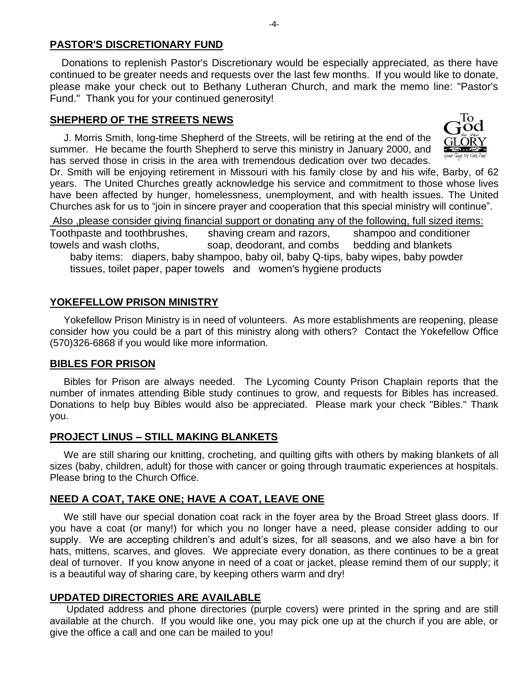#### **PASTOR'S DISCRETIONARY FUND**

 Donations to replenish Pastor's Discretionary would be especially appreciated, as there have continued to be greater needs and requests over the last few months. If you would like to donate, please make your check out to Bethany Lutheran Church, and mark the memo line: "Pastor's Fund." Thank you for your continued generosity!

#### **SHEPHERD OF THE STREETS NEWS**

 J. Morris Smith, long-time Shepherd of the Streets, will be retiring at the end of the summer. He became the fourth Shepherd to serve this ministry in January 2000, and has served those in crisis in the area with tremendous dedication over two decades.



Dr. Smith will be enjoying retirement in Missouri with his family close by and his wife, Barby, of 62 years. The United Churches greatly acknowledge his service and commitment to those whose lives have been affected by hunger, homelessness, unemployment, and with health issues. The United Churches ask for us to "join in sincere prayer and cooperation that this special ministry will continue".

Also ,please consider giving financial support or donating any of the following, full sized items: Toothpaste and toothbrushes, shaving cream and razors, shampoo and conditioner towels and wash cloths, soap, deodorant, and combs bedding and blankets baby items: diapers, baby shampoo, baby oil, baby Q-tips, baby wipes, baby powder tissues, toilet paper, paper towels and women's hygiene products

#### **YOKEFELLOW PRISON MINISTRY**

 Yokefellow Prison Ministry is in need of volunteers. As more establishments are reopening, please consider how you could be a part of this ministry along with others? Contact the Yokefellow Office (570)326-6868 if you would like more information.

#### **BIBLES FOR PRISON**

 Bibles for Prison are always needed. The Lycoming County Prison Chaplain reports that the number of inmates attending Bible study continues to grow, and requests for Bibles has increased. Donations to help buy Bibles would also be appreciated. Please mark your check "Bibles." Thank you.

### **PROJECT LINUS – STILL MAKING BLANKETS**

 We are still sharing our knitting, crocheting, and quilting gifts with others by making blankets of all sizes (baby, children, adult) for those with cancer or going through traumatic experiences at hospitals. Please bring to the Church Office.

### **NEED A COAT, TAKE ONE; HAVE A COAT, LEAVE ONE**

 We still have our special donation coat rack in the foyer area by the Broad Street glass doors. If you have a coat (or many!) for which you no longer have a need, please consider adding to our supply. We are accepting children's and adult's sizes, for all seasons, and we also have a bin for hats, mittens, scarves, and gloves. We appreciate every donation, as there continues to be a great deal of turnover. If you know anyone in need of a coat or jacket, please remind them of our supply; it is a beautiful way of sharing care, by keeping others warm and dry!

#### **UPDATED DIRECTORIES ARE AVAILABLE**

 Updated address and phone directories (purple covers) were printed in the spring and are still available at the church. If you would like one, you may pick one up at the church if you are able, or give the office a call and one can be mailed to you!